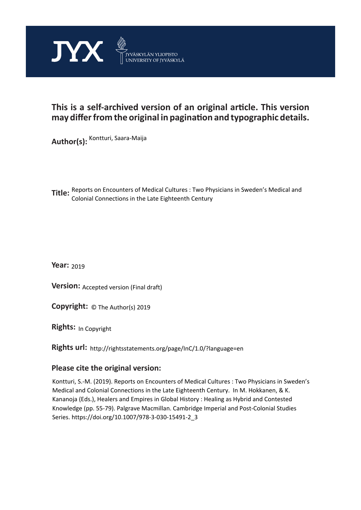

# **This is a self-archived version of an original article. This version may differ from the original in pagination and typographic details.**

**Author(s):**  Kontturi, Saara-Maija

**Title:**  Reports on Encounters of Medical Cultures : Two Physicians in Sweden's Medical and Colonial Connections in the Late Eighteenth Century

**Year:**  2019

**Version:** Accepted version (Final draft)

**Version:** Accepted version (Final draft)<br>**Copyright:** © The Author(s) 2019

**Rights:** In Copyright

**Rights url:**  http://rightsstatements.org/page/InC/1.0/?language=en

#### **Please cite the original version:**

Kontturi, S.-M. (2019). Reports on Encounters of Medical Cultures : Two Physicians in Sweden's Medical and Colonial Connections in the Late Eighteenth Century. In M. Hokkanen, & K. Kananoja (Eds.), Healers and Empires in Global History : Healing as Hybrid and Contested Knowledge (pp. 55-79). Palgrave Macmillan. Cambridge Imperial and Post-Colonial Studies Series. https://doi.org/10.1007/978-3-030-15491-2\_3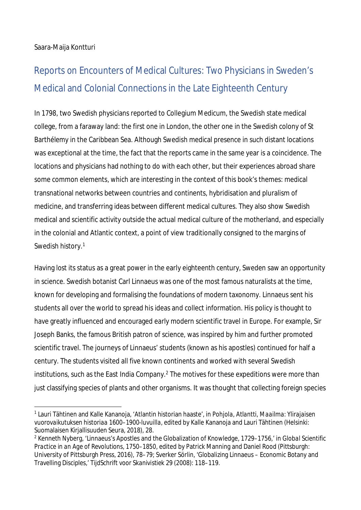#### Saara-Maija Kontturi

# Reports on Encounters of Medical Cultures: Two Physicians in Sweden's Medical and Colonial Connections in the Late Eighteenth Century

In 1798, two Swedish physicians reported to Collegium Medicum, the Swedish state medical college, from a faraway land: the first one in London, the other one in the Swedish colony of St Barthélemy in the Caribbean Sea. Although Swedish medical presence in such distant locations was exceptional at the time, the fact that the reports came in the same year is a coincidence. The locations and physicians had nothing to do with each other, but their experiences abroad share some common elements, which are interesting in the context of this book's themes: medical transnational networks between countries and continents, hybridisation and pluralism of medicine, and transferring ideas between different medical cultures. They also show Swedish medical and scientific activity outside the actual medical culture of the motherland, and especially in the colonial and Atlantic context, a point of view traditionally consigned to the margins of Swedish history.[1](#page-1-0)

Having lost its status as a great power in the early eighteenth century, Sweden saw an opportunity in science. Swedish botanist Carl Linnaeus was one of the most famous naturalists at the time, known for developing and formalising the foundations of modern taxonomy. Linnaeus sent his students all over the world to spread his ideas and collect information. His policy is thought to have greatly influenced and encouraged early modern scientific travel in Europe. For example, Sir Joseph Banks, the famous British patron of science, was inspired by him and further promoted scientific travel. The journeys of Linnaeus' students (known as his apostles) continued for half a century. The students visited all five known continents and worked with several Swedish institutions, such as the East India Company.<sup>[2](#page-1-1)</sup> The motives for these expeditions were more than just classifying species of plants and other organisms. It was thought that collecting foreign species

<span id="page-1-0"></span><sup>1</sup> Lauri Tähtinen and Kalle Kananoja, 'Atlantin historian haaste', in *Pohjola, Atlantti, Maailma: Ylirajaisen vuorovaikutuksen historiaa 1600–1900-luvuilla,* edited by Kalle Kananoja and Lauri Tähtinen (Helsinki: Suomalaisen Kirjallisuuden Seura, 2018), 28.

<span id="page-1-1"></span><sup>2</sup> Kenneth Nyberg, 'Linnaeus's Apostles and the Globalization of Knowledge, 1729–1756,' in *Global Scientific Practice in an Age of Revolutions, 1750–1850*, edited by Patrick Manning and Daniel Rood (Pittsburgh: University of Pittsburgh Press, 2016), 78–79; Sverker Sörlin, 'Globalizing Linnaeus – Economic Botany and Travelling Disciples,' *TijdSchrift voor Skanivistiek* 29 (2008): 118–119.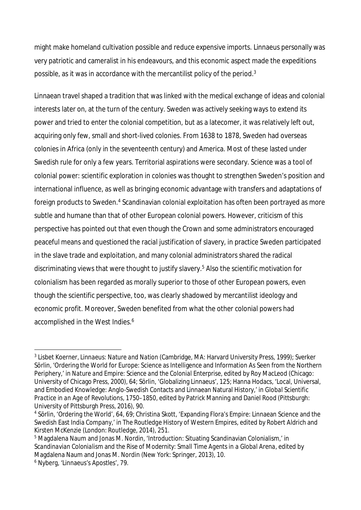might make homeland cultivation possible and reduce expensive imports. Linnaeus personally was very patriotic and cameralist in his endeavours, and this economic aspect made the expeditions possible, as it was in accordance with the mercantilist policy of the period.[3](#page-2-0)

Linnaean travel shaped a tradition that was linked with the medical exchange of ideas and colonial interests later on, at the turn of the century. Sweden was actively seeking ways to extend its power and tried to enter the colonial competition, but as a latecomer, it was relatively left out, acquiring only few, small and short-lived colonies. From 1638 to 1878, Sweden had overseas colonies in Africa (only in the seventeenth century) and America. Most of these lasted under Swedish rule for only a few years. Territorial aspirations were secondary. Science was a tool of colonial power: scientific exploration in colonies was thought to strengthen Sweden's position and international influence, as well as bringing economic advantage with transfers and adaptations of foreign products to Sweden.<sup>[4](#page-2-1)</sup> Scandinavian colonial exploitation has often been portrayed as more subtle and humane than that of other European colonial powers. However, criticism of this perspective has pointed out that even though the Crown and some administrators encouraged peaceful means and questioned the racial justification of slavery, in practice Sweden participated in the slave trade and exploitation, and many colonial administrators shared the radical discriminating views that were thought to justify slavery.<sup>[5](#page-2-2)</sup> Also the scientific motivation for colonialism has been regarded as morally superior to those of other European powers, even though the scientific perspective, too, was clearly shadowed by mercantilist ideology and economic profit. Moreover, Sweden benefited from what the other colonial powers had accomplished in the West Indies.<sup>[6](#page-2-3)</sup>

<span id="page-2-0"></span><sup>3</sup> Lisbet Koerner, *Linnaeus: Nature and Nation* (Cambridge, MA: Harvard University Press, 1999); Sverker Sörlin, 'Ordering the World for Europe: Science as Intelligence and Information As Seen from the Northern Periphery,' in *Nature and Empire: Science and the Colonial Enterprise*, edited by Roy MacLeod (Chicago: University of Chicago Press, 2000), 64; Sörlin, 'Globalizing Linnaeus', 125; Hanna Hodacs, 'Local, Universal, and Embodied Knowledge: Anglo-Swedish Contacts and Linnaean Natural History,' in *Global Scientific Practice in an Age of Revolutions, 1750–1850*, edited by Patrick Manning and Daniel Rood (Pittsburgh: University of Pittsburgh Press, 2016), 90.

<span id="page-2-1"></span><sup>4</sup> Sörlin, 'Ordering the World', 64, 69; Christina Skott, 'Expanding Flora's Empire: Linnaean Science and the Swedish East India Company,' in *The Routledge History of Western Empires*, edited by Robert Aldrich and Kirsten McKenzie (London: Routledge, 2014), 251.

<span id="page-2-2"></span><sup>5</sup> Magdalena Naum and Jonas M. Nordin, 'Introduction: Situating Scandinavian Colonialism,' in *Scandinavian Colonialism and the Rise of Modernity: Small Time Agents in a Global Arena*, edited by Magdalena Naum and Jonas M. Nordin (New York: Springer, 2013), 10.

<span id="page-2-3"></span><sup>6</sup> Nyberg, 'Linnaeus's Apostles', 79.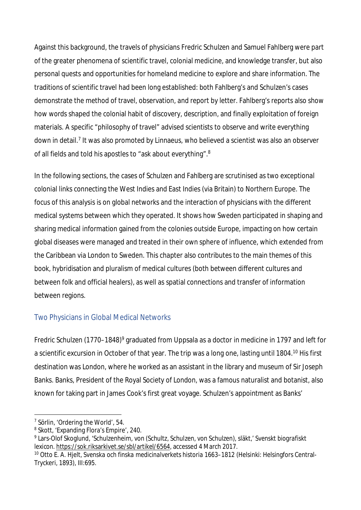Against this background, the travels of physicians Fredric Schulzen and Samuel Fahlberg were part of the greater phenomena of scientific travel, colonial medicine, and knowledge transfer, but also personal quests and opportunities for homeland medicine to explore and share information. The traditions of scientific travel had been long established: both Fahlberg's and Schulzen's cases demonstrate the method of travel, observation, and report by letter. Fahlberg's reports also show how words shaped the colonial habit of discovery, description, and finally exploitation of foreign materials. A specific "philosophy of travel" advised scientists to observe and write everything down in detail.<sup>[7](#page-3-0)</sup> It was also promoted by Linnaeus, who believed a scientist was also an observer of all fields and told his apostles to "ask about everything".[8](#page-3-1)

In the following sections, the cases of Schulzen and Fahlberg are scrutinised as two exceptional colonial links connecting the West Indies and East Indies (via Britain) to Northern Europe. The focus of this analysis is on global networks and the interaction of physicians with the different medical systems between which they operated. It shows how Sweden participated in shaping and sharing medical information gained from the colonies outside Europe, impacting on how certain global diseases were managed and treated in their own sphere of influence, which extended from the Caribbean via London to Sweden. This chapter also contributes to the main themes of this book, hybridisation and pluralism of medical cultures (both between different cultures and between folk and official healers), as well as spatial connections and transfer of information between regions.

### Two Physicians in Global Medical Networks

Fredric Schulzen (1770–1848)<sup>[9](#page-3-2)</sup> graduated from Uppsala as a doctor in medicine in 1797 and left for a scientific excursion in October of that year. The trip was a long one, lasting until 1804.<sup>[10](#page-3-3)</sup> His first destination was London, where he worked as an assistant in the library and museum of Sir Joseph Banks. Banks, President of the Royal Society of London, was a famous naturalist and botanist, also known for taking part in James Cook's first great voyage. Schulzen's appointment as Banks'

<span id="page-3-0"></span><sup>&</sup>lt;sup>7</sup> Sörlin, 'Ordering the World', 54.

<span id="page-3-1"></span><sup>8</sup> Skott, 'Expanding Flora's Empire', 240.

<span id="page-3-2"></span><sup>9</sup> Lars-Olof Skoglund, 'Schulzenheim, von (Schultz, Schulzen, von Schulzen), släkt,' *Svenskt biografiskt lexicon*. [https://sok.riksarkivet.se/sbl/artikel/6564,](https://sok.riksarkivet.se/sbl/artikel/6564) accessed 4 March 2017.

<span id="page-3-3"></span><sup>10</sup> Otto E. A. Hjelt, *Svenska och finska medicinalverkets historia 1663–1812* (Helsinki: Helsingfors Central-Tryckeri, 1893), III:695.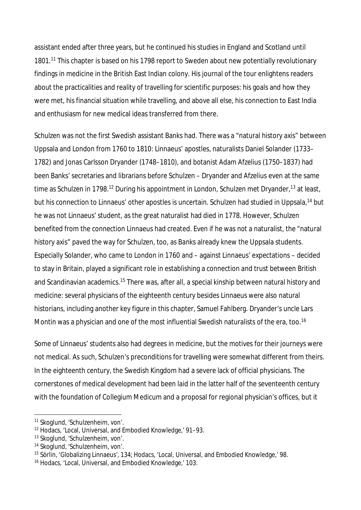assistant ended after three years, but he continued his studies in England and Scotland until 1801.<sup>[11](#page-4-0)</sup> This chapter is based on his 1798 report to Sweden about new potentially revolutionary findings in medicine in the British East Indian colony. His journal of the tour enlightens readers about the practicalities and reality of travelling for scientific purposes: his goals and how they were met, his financial situation while travelling, and above all else, his connection to East India and enthusiasm for new medical ideas transferred from there.

Schulzen was not the first Swedish assistant Banks had. There was a "natural history axis" between Uppsala and London from 1760 to 1810: Linnaeus' apostles, naturalists Daniel Solander (1733– 1782) and Jonas Carlsson Dryander (1748–1810), and botanist Adam Afzelius (1750–1837) had been Banks' secretaries and librarians before Schulzen – Dryander and Afzelius even at the same time as Schulzen in 1798.<sup>[12](#page-4-1)</sup> During his appointment in London, Schulzen met Dryander, <sup>[13](#page-4-2)</sup> at least, but his connection to Linnaeus' other apostles is uncertain. Schulzen had studied in Uppsala,<sup>[14](#page-4-3)</sup> but he was not Linnaeus' student, as the great naturalist had died in 1778. However, Schulzen benefited from the connection Linnaeus had created. Even if he was not a naturalist, the "natural history axis" paved the way for Schulzen, too, as Banks already knew the Uppsala students. Especially Solander, who came to London in 1760 and – against Linnaeus' expectations – decided to stay in Britain, played a significant role in establishing a connection and trust between British and Scandinavian academics.<sup>[15](#page-4-4)</sup> There was, after all, a special kinship between natural history and medicine: several physicians of the eighteenth century besides Linnaeus were also natural historians, including another key figure in this chapter, Samuel Fahlberg. Dryander's uncle Lars Montin was a physician and one of the most influential Swedish naturalists of the era, too.<sup>[16](#page-4-5)</sup>

Some of Linnaeus' students also had degrees in medicine, but the motives for their journeys were not medical. As such, Schulzen's preconditions for travelling were somewhat different from theirs. In the eighteenth century, the Swedish Kingdom had a severe lack of official physicians. The cornerstones of medical development had been laid in the latter half of the seventeenth century with the foundation of Collegium Medicum and a proposal for regional physician's offices, but it

<span id="page-4-0"></span><sup>11</sup> Skoglund, 'Schulzenheim, von'.

<span id="page-4-1"></span><sup>12</sup> Hodacs, 'Local, Universal, and Embodied Knowledge,' 91–93.

<span id="page-4-2"></span><sup>13</sup> Skoglund, 'Schulzenheim, von'.

<span id="page-4-3"></span><sup>14</sup> Skoglund, 'Schulzenheim, von'.

<span id="page-4-4"></span><sup>15</sup> Sörlin, 'Globalizing Linnaeus', 134; Hodacs, 'Local, Universal, and Embodied Knowledge,' 98.

<span id="page-4-5"></span><sup>16</sup> Hodacs, 'Local, Universal, and Embodied Knowledge,' 103.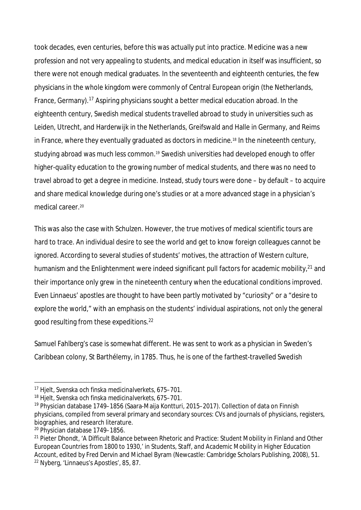took decades, even centuries, before this was actually put into practice. Medicine was a new profession and not very appealing to students, and medical education in itself was insufficient, so there were not enough medical graduates. In the seventeenth and eighteenth centuries, the few physicians in the whole kingdom were commonly of Central European origin (the Netherlands, France, Germany).[17](#page-5-0) Aspiring physicians sought a better medical education abroad. In the eighteenth century, Swedish medical students travelled abroad to study in universities such as Leiden, Utrecht, and Harderwijk in the Netherlands, Greifswald and Halle in Germany, and Reims in France, where they eventually graduated as doctors in medicine.<sup>[18](#page-5-1)</sup> In the nineteenth century, studying abroad was much less common.<sup>[19](#page-5-2)</sup> Swedish universities had developed enough to offer higher-quality education to the growing number of medical students, and there was no need to travel abroad to get a degree in medicine. Instead, study tours were done – by default – to acquire and share medical knowledge during one's studies or at a more advanced stage in a physician's medical career.[20](#page-5-3)

This was also the case with Schulzen. However, the true motives of medical scientific tours are hard to trace. An individual desire to see the world and get to know foreign colleagues cannot be ignored. According to several studies of students' motives, the attraction of Western culture, humanism and the Enlightenment were indeed significant pull factors for academic mobility,<sup>[21](#page-5-4)</sup> and their importance only grew in the nineteenth century when the educational conditions improved. Even Linnaeus' apostles are thought to have been partly motivated by "curiosity" or a "desire to explore the world," with an emphasis on the students' individual aspirations, not only the general good resulting from these expeditions.[22](#page-5-5)

Samuel Fahlberg's case is somewhat different. He was sent to work as a physician in Sweden's Caribbean colony, St Barthélemy, in 1785. Thus, he is one of the farthest-travelled Swedish

<span id="page-5-0"></span><sup>17</sup> Hjelt, *Svenska och finska medicinalverkets*, 675–701.

<span id="page-5-1"></span><sup>18</sup> Hjelt, *Svenska och finska medicinalverkets*, 675–701.

<span id="page-5-2"></span><sup>19</sup> Physician database 1749–1856 (Saara-Maija Kontturi, 2015–2017). Collection of data on Finnish physicians, compiled from several primary and secondary sources: CVs and journals of physicians, registers, biographies, and research literature.

<span id="page-5-3"></span><sup>20</sup> Physician database 1749–1856.

<span id="page-5-5"></span><span id="page-5-4"></span><sup>&</sup>lt;sup>21</sup> Pieter Dhondt, 'A Difficult Balance between Rhetoric and Practice: Student Mobility in Finland and Other European Countries from 1800 to 1930,' in *Students, Staff, and Academic Mobility in Higher Education Account*, edited by Fred Dervin and Michael Byram (Newcastle: Cambridge Scholars Publishing, 2008), 51. 22 Nyberg, 'Linnaeus's Apostles', 85, 87.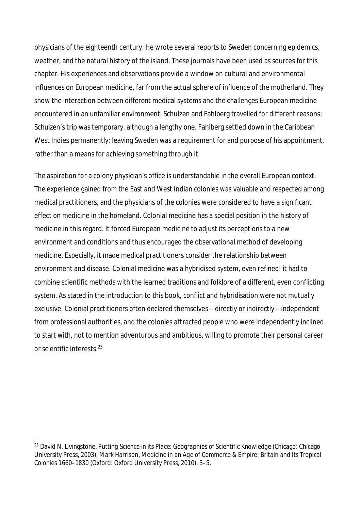physicians of the eighteenth century. He wrote several reports to Sweden concerning epidemics, weather, and the natural history of the island. These journals have been used as sources for this chapter. His experiences and observations provide a window on cultural and environmental influences on European medicine, far from the actual sphere of influence of the motherland. They show the interaction between different medical systems and the challenges European medicine encountered in an unfamiliar environment. Schulzen and Fahlberg travelled for different reasons: Schulzen's trip was temporary, although a lengthy one. Fahlberg settled down in the Caribbean West Indies permanently; leaving Sweden was a requirement for and purpose of his appointment, rather than a means for achieving something through it.

The aspiration for a colony physician's office is understandable in the overall European context. The experience gained from the East and West Indian colonies was valuable and respected among medical practitioners, and the physicians of the colonies were considered to have a significant effect on medicine in the homeland. Colonial medicine has a special position in the history of medicine in this regard. It forced European medicine to adjust its perceptions to a new environment and conditions and thus encouraged the observational method of developing medicine. Especially, it made medical practitioners consider the relationship between environment and disease. Colonial medicine was a hybridised system, even refined: it had to combine scientific methods with the learned traditions and folklore of a different, even conflicting system. As stated in the introduction to this book, conflict and hybridisation were not mutually exclusive. Colonial practitioners often declared themselves – directly or indirectly – independent from professional authorities, and the colonies attracted people who were independently inclined to start with, not to mention adventurous and ambitious, willing to promote their personal career or scientific interests.[23](#page-6-0)

<span id="page-6-0"></span><sup>23</sup> David N. Livingstone, *Putting Science in its Place: Geographies of Scientific Knowledge* (Chicago: Chicago University Press, 2003); Mark Harrison, *Medicine in an Age of Commerce & Empire: Britain and Its Tropical Colonies 1660–1830* (Oxford: Oxford University Press, 2010), 3–5.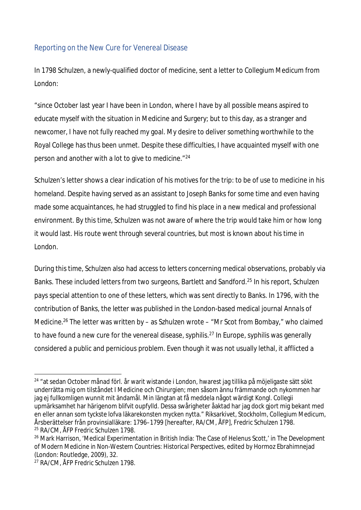#### Reporting on the New Cure for Venereal Disease

In 1798 Schulzen, a newly-qualified doctor of medicine, sent a letter to Collegium Medicum from London:

"since October last year I have been in London, where I have by all possible means aspired to educate myself with the situation in Medicine and Surgery; but to this day, as a stranger and newcomer, I have not fully reached my goal. My desire to deliver something worthwhile to the Royal College has thus been unmet. Despite these difficulties, I have acquainted myself with one person and another with a lot to give to medicine."[24](#page-7-0)

Schulzen's letter shows a clear indication of his motives for the trip: to be of use to medicine in his homeland. Despite having served as an assistant to Joseph Banks for some time and even having made some acquaintances, he had struggled to find his place in a new medical and professional environment. By this time, Schulzen was not aware of where the trip would take him or how long it would last. His route went through several countries, but most is known about his time in London.

During this time, Schulzen also had access to letters concerning medical observations, probably via Banks. These included letters from two surgeons, Bartlett and Sandford.<sup>[25](#page-7-1)</sup> In his report, Schulzen pays special attention to one of these letters, which was sent directly to Banks. In 1796, with the contribution of Banks, the letter was published in the London-based medical journal *Annals of Medicine*. [26](#page-7-2) The letter was written by – as Szhulzen wrote – "Mr Scot from Bombay," who claimed to have found a new cure for the venereal disease, syphilis.<sup>[27](#page-7-3)</sup> In Europe, syphilis was generally considered a public and pernicious problem. Even though it was not usually lethal, it afflicted a

<span id="page-7-0"></span><sup>&</sup>lt;sup>24</sup> "at sedan October månad förl. år warit wistande i London, hwarest jag tillika på möjeligaste sätt sökt underrätta mig om tilståndet I Medicine och Chirurgien; men såsom ännu främmande och nykommen har jag ej fullkomligen wunnit mit ändamål. Min längtan at få meddela något wärdigt Kongl. Collegii upmärksamhet har härigenom blifvit oupfylld. Dessa swårigheter åaktad har jag dock gjort mig bekant med en eller annan som tyckste lofva läkarekonsten mycken nytta." Riksarkivet, Stockholm, Collegium Medicum, Årsberättelser från provinsialläkare: 1796–1799 [hereafter, RA/CM, ÅFP], Fredric Schulzen 1798. <sup>25</sup> RA/CM, ÅFP Fredric Schulzen 1798.

<span id="page-7-2"></span><span id="page-7-1"></span><sup>26</sup> Mark Harrison, 'Medical Experimentation in British India: The Case of Helenus Scott,' in *The Development of Modern Medicine in Non-Western Countries: Historical Perspectives*, edited by Hormoz Ebrahimnejad (London: Routledge, 2009), 32.

<span id="page-7-3"></span><sup>&</sup>lt;sup>27</sup> RA/CM, ÅFP Fredric Schulzen 1798.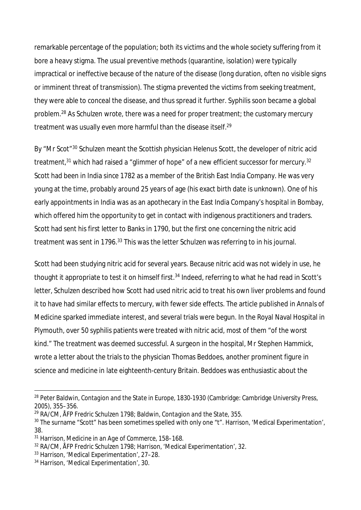remarkable percentage of the population; both its victims and the whole society suffering from it bore a heavy stigma. The usual preventive methods (quarantine, isolation) were typically impractical or ineffective because of the nature of the disease (long duration, often no visible signs or imminent threat of transmission). The stigma prevented the victims from seeking treatment, they were able to conceal the disease, and thus spread it further. Syphilis soon became a global problem.[28](#page-8-0) As Schulzen wrote, there was a need for proper treatment; the customary mercury treatment was usually even more harmful than the disease itself.<sup>[29](#page-8-1)</sup>

By "Mr Scot"<sup>[30](#page-8-2)</sup> Schulzen meant the Scottish physician Helenus Scott, the developer of nitric acid treatment,  $31$  which had raised a "glimmer of hope" of a new efficient successor for mercury.  $32$ Scott had been in India since 1782 as a member of the British East India Company. He was very young at the time, probably around 25 years of age (his exact birth date is unknown). One of his early appointments in India was as an apothecary in the East India Company's hospital in Bombay, which offered him the opportunity to get in contact with indigenous practitioners and traders. Scott had sent his first letter to Banks in 1790, but the first one concerning the nitric acid treatment was sent in 1796.<sup>[33](#page-8-5)</sup> This was the letter Schulzen was referring to in his journal.

Scott had been studying nitric acid for several years. Because nitric acid was not widely in use, he thought it appropriate to test it on himself first.<sup>[34](#page-8-6)</sup> Indeed, referring to what he had read in Scott's letter, Schulzen described how Scott had used nitric acid to treat his own liver problems and found it to have had similar effects to mercury, with fewer side effects. The article published in *Annals of Medicine* sparked immediate interest, and several trials were begun. In the Royal Naval Hospital in Plymouth, over 50 syphilis patients were treated with nitric acid, most of them "of the worst kind." The treatment was deemed successful. A surgeon in the hospital, Mr Stephen Hammick, wrote a letter about the trials to the physician Thomas Beddoes, another prominent figure in science and medicine in late eighteenth-century Britain. Beddoes was enthusiastic about the

<span id="page-8-0"></span><sup>28</sup> Peter Baldwin, *Contagion and the State in Europe, 1830-1930* (Cambridge: Cambridge University Press, 2005), 355–356.

<span id="page-8-1"></span><sup>29</sup> RA/CM, ÅFP Fredric Schulzen 1798; Baldwin, *Contagion and the State*, 355.

<span id="page-8-2"></span><sup>&</sup>lt;sup>30</sup> The surname "Scott" has been sometimes spelled with only one "t". Harrison, 'Medical Experimentation', 38.

<span id="page-8-3"></span><sup>31</sup> Harrison, *Medicine in an Age of Commerce*, 158–168.

<span id="page-8-4"></span><sup>32</sup> RA/CM, ÅFP Fredric Schulzen 1798; Harrison, 'Medical Experimentation', 32.

<span id="page-8-5"></span><sup>33</sup> Harrison, 'Medical Experimentation', 27–28.

<span id="page-8-6"></span><sup>34</sup> Harrison, 'Medical Experimentation', 30.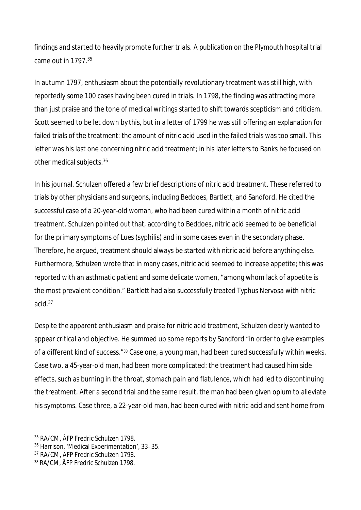findings and started to heavily promote further trials. A publication on the Plymouth hospital trial came out in 1797.[35](#page-9-0)

In autumn 1797, enthusiasm about the potentially revolutionary treatment was still high, with reportedly some 100 cases having been cured in trials. In 1798, the finding was attracting more than just praise and the tone of medical writings started to shift towards scepticism and criticism. Scott seemed to be let down by this, but in a letter of 1799 he was still offering an explanation for failed trials of the treatment: the amount of nitric acid used in the failed trials was too small. This letter was his last one concerning nitric acid treatment; in his later letters to Banks he focused on other medical subjects.[36](#page-9-1)

In his journal, Schulzen offered a few brief descriptions of nitric acid treatment. These referred to trials by other physicians and surgeons, including Beddoes, Bartlett, and Sandford. He cited the successful case of a 20-year-old woman, who had been cured within a month of nitric acid treatment. Schulzen pointed out that, according to Beddoes, nitric acid seemed to be beneficial for the primary symptoms of *Lues* (syphilis) and in some cases even in the secondary phase. Therefore, he argued, treatment should always be started with nitric acid before anything else. Furthermore, Schulzen wrote that in many cases, nitric acid seemed to increase appetite; this was reported with an asthmatic patient and some delicate women, "among whom lack of appetite is the most prevalent condition." Bartlett had also successfully treated *Typhus Nervosa* with nitric acid.[37](#page-9-2)

Despite the apparent enthusiasm and praise for nitric acid treatment, Schulzen clearly wanted to appear critical and objective. He summed up some reports by Sandford "in order to give examples of a different kind of success."[38](#page-9-3) Case one, a young man, had been cured successfully within weeks. Case two, a 45-year-old man, had been more complicated: the treatment had caused him side effects, such as burning in the throat, stomach pain and flatulence, which had led to discontinuing the treatment. After a second trial and the same result, the man had been given opium to alleviate his symptoms. Case three, a 22-year-old man, had been cured with nitric acid and sent home from

<span id="page-9-0"></span><sup>&</sup>lt;sup>35</sup> RA/CM, ÅFP Fredric Schulzen 1798.

<span id="page-9-1"></span><sup>36</sup> Harrison, 'Medical Experimentation', 33–35.

<span id="page-9-2"></span><sup>37</sup> RA/CM, ÅFP Fredric Schulzen 1798.

<span id="page-9-3"></span><sup>38</sup> RA/CM, ÅFP Fredric Schulzen 1798.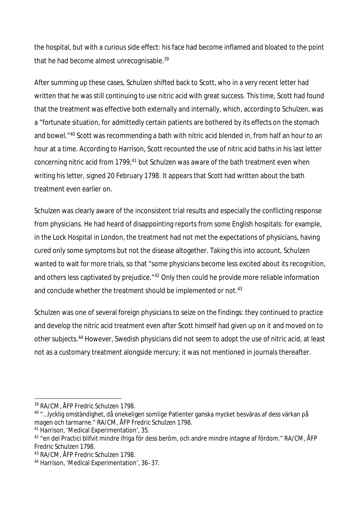the hospital, but with a curious side effect: his face had become inflamed and bloated to the point that he had become almost unrecognisable.<sup>[39](#page-10-0)</sup>

After summing up these cases, Schulzen shifted back to Scott, who in a very recent letter had written that he was still continuing to use nitric acid with great success. This time, Scott had found that the treatment was effective both externally and internally, which, according to Schulzen, was a "fortunate situation, for admittedly certain patients are bothered by its effects on the stomach and bowel."[40](#page-10-1) Scott was recommending a bath with nitric acid blended in, from half an hour to an hour at a time. According to Harrison, Scott recounted the use of nitric acid baths in his last letter concerning nitric acid from 1799,<sup>[41](#page-10-2)</sup> but Schulzen was aware of the bath treatment even when writing his letter, signed 20 February 1798. It appears that Scott had written about the bath treatment even earlier on.

Schulzen was clearly aware of the inconsistent trial results and especially the conflicting response from physicians. He had heard of disappointing reports from some English hospitals: for example, in the Lock Hospital in London, the treatment had not met the expectations of physicians, having cured only some symptoms but not the disease altogether. Taking this into account, Schulzen wanted to wait for more trials, so that "some physicians become less excited about its recognition, and others less captivated by prejudice."<sup>[42](#page-10-3)</sup> Only then could he provide more reliable information and conclude whether the treatment should be implemented or not.<sup>[43](#page-10-4)</sup>

Schulzen was one of several foreign physicians to seize on the findings: they continued to practice and develop the nitric acid treatment even after Scott himself had given up on it and moved on to other subjects.[44](#page-10-5) However, Swedish physicians did not seem to adopt the use of nitric acid, at least not as a customary treatment alongside mercury; it was not mentioned in journals thereafter.

<span id="page-10-0"></span><sup>39</sup> RA/CM, ÅFP Fredric Schulzen 1798.

<span id="page-10-1"></span><sup>40</sup> "…lycklig omständighet, då onekeligen somlige Patienter ganska mycket besväras af dess värkan på magen och tarmarne." RA/CM, ÅFP Fredric Schulzen 1798.

<span id="page-10-2"></span><sup>41</sup> Harrison, 'Medical Experimentation', 35.

<span id="page-10-3"></span><sup>42</sup> "en del Practici blifvit mindre ifriga för dess beröm, och andre mindre intagne af fördom." RA/CM, ÅFP Fredric Schulzen 1798.

<span id="page-10-4"></span><sup>43</sup> RA/CM, ÅFP Fredric Schulzen 1798.

<span id="page-10-5"></span><sup>44</sup> Harrison, 'Medical Experimentation', 36–37.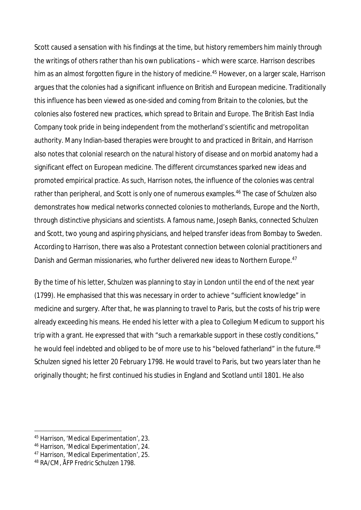Scott caused a sensation with his findings at the time, but history remembers him mainly through the writings of others rather than his own publications – which were scarce. Harrison describes him as an almost forgotten figure in the history of medicine.<sup>[45](#page-11-0)</sup> However, on a larger scale, Harrison argues that the colonies had a significant influence on British and European medicine. Traditionally this influence has been viewed as one-sided and coming from Britain to the colonies, but the colonies also fostered new practices, which spread to Britain and Europe. The British East India Company took pride in being independent from the motherland's scientific and metropolitan authority. Many Indian-based therapies were brought to and practiced in Britain, and Harrison also notes that colonial research on the natural history of disease and on morbid anatomy had a significant effect on European medicine. The different circumstances sparked new ideas and promoted empirical practice. As such, Harrison notes, the influence of the colonies was central rather than peripheral, and Scott is only one of numerous examples.<sup>[46](#page-11-1)</sup> The case of Schulzen also demonstrates how medical networks connected colonies to motherlands, Europe and the North, through distinctive physicians and scientists. A famous name, Joseph Banks, connected Schulzen and Scott, two young and aspiring physicians, and helped transfer ideas from Bombay to Sweden. According to Harrison, there was also a Protestant connection between colonial practitioners and Danish and German missionaries, who further delivered new ideas to Northern Europe.<sup>[47](#page-11-2)</sup>

By the time of his letter, Schulzen was planning to stay in London until the end of the next year (1799). He emphasised that this was necessary in order to achieve "sufficient knowledge" in medicine and surgery. After that, he was planning to travel to Paris, but the costs of his trip were already exceeding his means. He ended his letter with a plea to Collegium Medicum to support his trip with a grant. He expressed that with "such a remarkable support in these costly conditions," he would feel indebted and obliged to be of more use to his "beloved fatherland" in the future.<sup>[48](#page-11-3)</sup> Schulzen signed his letter 20 February 1798. He would travel to Paris, but two years later than he originally thought; he first continued his studies in England and Scotland until 1801. He also

<span id="page-11-0"></span><sup>45</sup> Harrison, 'Medical Experimentation', 23.

<span id="page-11-1"></span><sup>46</sup> Harrison, 'Medical Experimentation', 24.

<span id="page-11-2"></span><sup>47</sup> Harrison, 'Medical Experimentation', 25.

<span id="page-11-3"></span><sup>48</sup> RA/CM, ÅFP Fredric Schulzen 1798.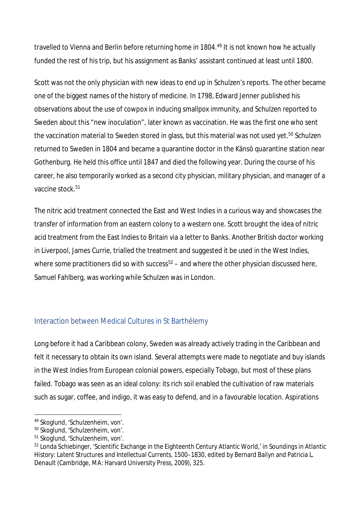travelled to Vienna and Berlin before returning home in 1804.<sup>[49](#page-12-0)</sup> It is not known how he actually funded the rest of his trip, but his assignment as Banks' assistant continued at least until 1800.

Scott was not the only physician with new ideas to end up in Schulzen's reports. The other became one of the biggest names of the history of medicine. In 1798, Edward Jenner published his observations about the use of cowpox in inducing smallpox immunity, and Schulzen reported to Sweden about this "new inoculation", later known as vaccination. He was the first one who sent the vaccination material to Sweden stored in glass, but this material was not used yet.<sup>[50](#page-12-1)</sup> Schulzen returned to Sweden in 1804 and became a quarantine doctor in the Känsö quarantine station near Gothenburg. He held this office until 1847 and died the following year. During the course of his career, he also temporarily worked as a second city physician, military physician, and manager of a vaccine stock.[51](#page-12-2)

The nitric acid treatment connected the East and West Indies in a curious way and showcases the transfer of information from an eastern colony to a western one. Scott brought the idea of nitric acid treatment from the East Indies to Britain via a letter to Banks. Another British doctor working in Liverpool, James Currie, trialled the treatment and suggested it be used in the West Indies, where some practitioners did so with success<sup>[52](#page-12-3)</sup> – and where the other physician discussed here, Samuel Fahlberg, was working while Schulzen was in London.

## Interaction between Medical Cultures in St Barthélemy

Long before it had a Caribbean colony, Sweden was already actively trading in the Caribbean and felt it necessary to obtain its own island. Several attempts were made to negotiate and buy islands in the West Indies from European colonial powers, especially Tobago, but most of these plans failed. Tobago was seen as an ideal colony: its rich soil enabled the cultivation of raw materials such as sugar, coffee, and indigo, it was easy to defend, and in a favourable location. Aspirations

<span id="page-12-0"></span><sup>49</sup> Skoglund, 'Schulzenheim, von'.

<span id="page-12-1"></span><sup>50</sup> Skoglund, 'Schulzenheim, von'.

<span id="page-12-2"></span><sup>51</sup> Skoglund, 'Schulzenheim, von'.

<span id="page-12-3"></span><sup>52</sup> Londa Schiebinger, 'Scientific Exchange in the Eighteenth Century Atlantic World,' in *Soundings in Atlantic History*: *Latent Structures and Intellectual Currents, 1500–1830*, edited by Bernard Bailyn and Patricia L. Denault (Cambridge, MA: Harvard University Press, 2009), 325.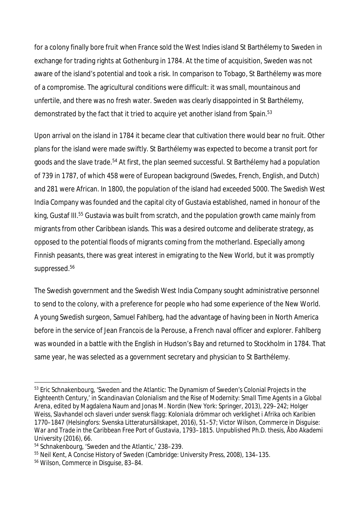for a colony finally bore fruit when France sold the West Indies island St Barthélemy to Sweden in exchange for trading rights at Gothenburg in 1784. At the time of acquisition, Sweden was not aware of the island's potential and took a risk. In comparison to Tobago, St Barthélemy was more of a compromise. The agricultural conditions were difficult: it was small, mountainous and unfertile, and there was no fresh water. Sweden was clearly disappointed in St Barthélemy, demonstrated by the fact that it tried to acquire yet another island from Spain.<sup>[53](#page-13-0)</sup>

Upon arrival on the island in 1784 it became clear that cultivation there would bear no fruit. Other plans for the island were made swiftly. St Barthélemy was expected to become a transit port for goods and the slave trade.<sup>[54](#page-13-1)</sup> At first, the plan seemed successful. St Barthélemy had a population of 739 in 1787, of which 458 were of European background (Swedes, French, English, and Dutch) and 281 were African. In 1800, the population of the island had exceeded 5000. The Swedish West India Company was founded and the capital city of Gustavia established, named in honour of the king, Gustaf III.<sup>[55](#page-13-2)</sup> Gustavia was built from scratch, and the population growth came mainly from migrants from other Caribbean islands. This was a desired outcome and deliberate strategy, as opposed to the potential floods of migrants coming from the motherland. Especially among Finnish peasants, there was great interest in emigrating to the New World, but it was promptly suppressed.<sup>[56](#page-13-3)</sup>

The Swedish government and the Swedish West India Company sought administrative personnel to send to the colony, with a preference for people who had some experience of the New World. A young Swedish surgeon, Samuel Fahlberg, had the advantage of having been in North America before in the service of Jean Francois de la Perouse, a French naval officer and explorer. Fahlberg was wounded in a battle with the English in Hudson's Bay and returned to Stockholm in 1784. That same year, he was selected as a government secretary and physician to St Barthélemy.

<span id="page-13-0"></span><sup>&</sup>lt;sup>53</sup> Eric Schnakenbourg, 'Sweden and the Atlantic: The Dynamism of Sweden's Colonial Projects in the Eighteenth Century,' in *Scandinavian Colonialism and the Rise of Modernity: Small Time Agents in a Global Arena*, edited by Magdalena Naum and Jonas M. Nordin (New York: Springer, 2013), 229–242; Holger Weiss, *Slavhandel och slaveri under svensk flagg: Koloniala drömmar och verklighet i Afrika och Karibien 1770–1847* (Helsingfors: Svenska Litteratursällskapet, 2016), 51–57; Victor Wilson, *Commerce in Disguise: War and Trade in the Caribbean Free Port of Gustavia, 1793–1815*. Unpublished Ph.D. thesis, Åbo Akademi University (2016), 66.

<span id="page-13-1"></span><sup>54</sup> Schnakenbourg, 'Sweden and the Atlantic,' 238–239.

<span id="page-13-2"></span><sup>55</sup> Neil Kent, *A Concise History of Sweden* (Cambridge: University Press, 2008), 134–135.

<span id="page-13-3"></span><sup>56</sup> Wilson, *Commerce in* Disguise, 83–84.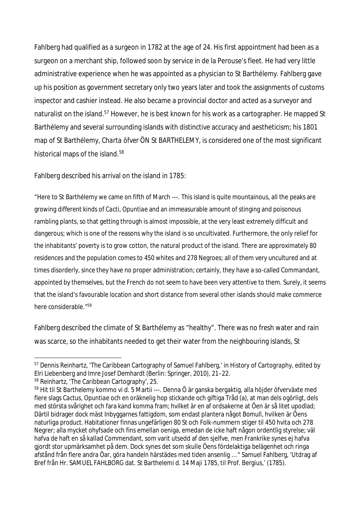Fahlberg had qualified as a surgeon in 1782 at the age of 24. His first appointment had been as a surgeon on a merchant ship, followed soon by service in de la Perouse's fleet. He had very little administrative experience when he was appointed as a physician to St Barthélemy. Fahlberg gave up his position as government secretary only two years later and took the assignments of customs inspector and cashier instead. He also became a provincial doctor and acted as a surveyor and naturalist on the island.<sup>[57](#page-14-0)</sup> However, he is best known for his work as a cartographer. He mapped St Barthélemy and several surrounding islands with distinctive accuracy and aestheticism; his 1801 map of St Barthélemy, *Charta öfver ÖN St BARTHELEMY*, is considered one of the most significant historical maps of the island.<sup>[58](#page-14-1)</sup>

Fahlberg described his arrival on the island in 1785:

"Here to St Barthélemy we came on fifth of March ---. This island is quite mountainous, all the peaks are growing different kinds of *Cacti, Opuntiae* and an immeasurable amount of stinging and poisonous rambling plants, so that getting through is almost impossible, at the very least extremely difficult and dangerous; which is one of the reasons why the island is so uncultivated. Furthermore, the only relief for the inhabitants' poverty is to grow cotton, the natural product of the island. There are approximately 80 residences and the population comes to 450 whites and 278 Negroes; all of them very uncultured and at times disorderly, since they have no proper administration; certainly, they have a so-called Commandant, appointed by themselves, but the French do not seem to have been very attentive to them. Surely, it seems that the island's favourable location and short distance from several other islands should make commerce here considerable."[59](#page-14-2)

Fahlberg described the climate of St Barthélemy as "healthy". There was no fresh water and rain was scarce, so the inhabitants needed to get their water from the neighbouring islands, St

<span id="page-14-0"></span><sup>57</sup> Dennis Reinhartz, 'The Caribbean Cartography of Samuel Fahlberg,' in *History of Cartography,* edited by Elri Liebenberg and Imre Josef Demhardt (Berlin: Springer, 2010), 21–22.

<span id="page-14-1"></span><sup>58</sup> Reinhartz, 'The Caribbean Cartography', 25.

<span id="page-14-2"></span><sup>59</sup> Hit til *St Barthelemy* kommo vi d. 5 Martii ---. Denna Ö är ganska bergaktig, alla höjder öfverväxte med flere slags *Cactus, Opuntiae* och en oräknelig hop stickande och giftiga Tråd (a), at man dels ogörligt, dels med största svårighet och fara kand komma fram; hvilket är en af ordsakerne at Öen är så litet upodlad; Därtil bidrager dock mäst Inbyggarnes fattigdom, som endast plantera något Bomull, hvilken är Öens naturliga product. Habitationer finnas ungefärligen 80 St och Folk-nummern stiger til 450 hvita och 278 Negrer; alla mycket ohyfsade och fins emellan oeniga, emedan de icke haft någon ordentlig styrelse; väl hafva de haft en så kallad Commendant, som varit utsedd af den sjelfve, men Frankrike synes ej hafva gjordt stor upmärksamhet på dem. Dock synes det som skulle Öens fördelaktiga belägenhet och ringa afstånd från flere andra Öar, göra handeln härstädes med tiden ansenlig … " Samuel Fahlberg, 'Utdrag af Bref från Hr. SAMUEL FAHLBORG dat. St Barthelemi d. 14 Maji 1785, til Prof. Bergius,' (1785).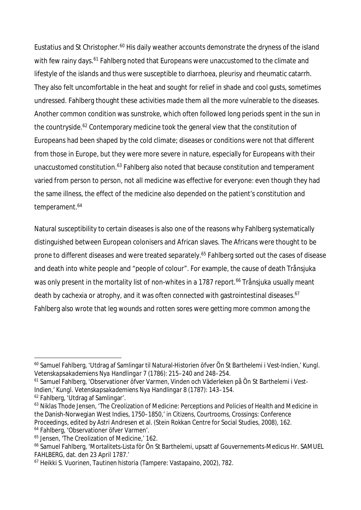Eustatius and St Christopher.<sup>[60](#page-15-0)</sup> His daily weather accounts demonstrate the dryness of the island with few rainy days.<sup>[61](#page-15-1)</sup> Fahlberg noted that Europeans were unaccustomed to the climate and lifestyle of the islands and thus were susceptible to diarrhoea, pleurisy and rheumatic catarrh. They also felt uncomfortable in the heat and sought for relief in shade and cool gusts, sometimes undressed. Fahlberg thought these activities made them all the more vulnerable to the diseases. Another common condition was sunstroke, which often followed long periods spent in the sun in the countryside.<sup>[62](#page-15-2)</sup> Contemporary medicine took the general view that the constitution of Europeans had been shaped by the cold climate; diseases or conditions were not that different from those in Europe, but they were more severe in nature, especially for Europeans with their unaccustomed constitution.[63](#page-15-3) Fahlberg also noted that because constitution and temperament varied from person to person, not all medicine was effective for everyone: even though they had the same illness, the effect of the medicine also depended on the patient's constitution and temperament.<sup>[64](#page-15-4)</sup>

Natural susceptibility to certain diseases is also one of the reasons why Fahlberg systematically distinguished between European colonisers and African slaves. The Africans were thought to be prone to different diseases and were treated separately.<sup>[65](#page-15-5)</sup> Fahlberg sorted out the cases of disease and death into white people and "people of colour". For example, the cause of death *Trånsjuka* was only present in the mortality list of non-whites in a 1787 report.<sup>[66](#page-15-6)</sup> Trånsjuka usually meant death by cachexia or atrophy, and it was often connected with gastrointestinal diseases. $67$ Fahlberg also wrote that leg wounds and rotten sores were getting more common among the

<span id="page-15-0"></span><sup>60</sup> Samuel Fahlberg, 'Utdrag af Samlingar til Natural-Historien öfver Ön St Barthelemi i Vest-Indien,' *Kungl. Vetenskapsakademiens Nya Handlingar* 7 (1786): 215–240 and 248–254.

<span id="page-15-1"></span><sup>61</sup> Samuel Fahlberg, 'Observationer öfver Varmen, Vinden och Väderleken på Ön St Barthelemi i Vest-Indien,' *Kungl. Vetenskapsakademiens Nya Handlingar* 8 (1787): 143–154.

<span id="page-15-2"></span><sup>62</sup> Fahlberg, 'Utdrag af Samlingar'.

<span id="page-15-3"></span><sup>&</sup>lt;sup>63</sup> Niklas Thode Jensen, 'The Creolization of Medicine: Perceptions and Policies of Health and Medicine in the Danish-Norwegian West Indies, 1750–1850,' in *Citizens, Courtrooms, Crossings: Conference Proceedings*, edited by Astri Andresen et al. (Stein Rokkan Centre for Social Studies, 2008), 162. <sup>64</sup> Fahlberg, 'Observationer öfver Varmen'.

<span id="page-15-5"></span><span id="page-15-4"></span><sup>65</sup> Jensen, 'The Creolization of Medicine,' 162.

<span id="page-15-6"></span><sup>66</sup> Samuel Fahlberg, 'Mortalitets-Lista för Ön St Barthelemi, upsatt af Gouvernements-Medicus Hr. SAMUEL FAHLBERG, dat. den 23 April 1787.'

<span id="page-15-7"></span><sup>67</sup> Heikki S. Vuorinen, *Tautinen historia* (Tampere: Vastapaino, 2002), 782.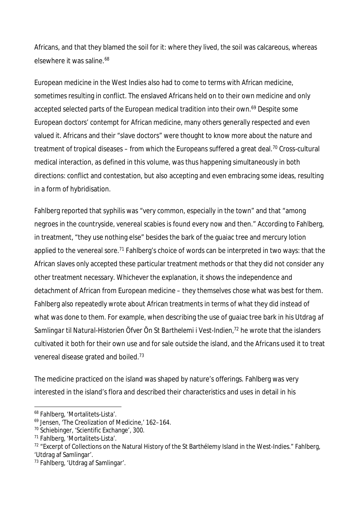Africans, and that they blamed the soil for it: where they lived, the soil was calcareous, whereas elsewhere it was saline.<sup>[68](#page-16-0)</sup>

European medicine in the West Indies also had to come to terms with African medicine, sometimes resulting in conflict. The enslaved Africans held on to their own medicine and only accepted selected parts of the European medical tradition into their own.<sup>[69](#page-16-1)</sup> Despite some European doctors' contempt for African medicine, many others generally respected and even valued it. Africans and their "slave doctors" were thought to know more about the nature and treatment of tropical diseases – from which the Europeans suffered a great deal.<sup>[70](#page-16-2)</sup> Cross-cultural medical interaction, as defined in this volume, was thus happening simultaneously in both directions: conflict and contestation, but also accepting and even embracing some ideas, resulting in a form of hybridisation.

Fahlberg reported that syphilis was "very common, especially in the town" and that "among negroes in the countryside, venereal scabies is found every now and then." According to Fahlberg, in treatment, "they use nothing else" besides the bark of the guaiac tree and mercury lotion applied to the venereal sore.<sup>[71](#page-16-3)</sup> Fahlberg's choice of words can be interpreted in two ways: that the African slaves only accepted these particular treatment methods or that they did not consider any other treatment necessary. Whichever the explanation, it shows the independence and detachment of African from European medicine – they themselves chose what was best for them. Fahlberg also repeatedly wrote about African treatments in terms of what they *did* instead of what *was done* to them. For example, when describing the use of guaiac tree bark in his *Utdrag af Samlingar til Natural-Historien Öfver Ön St Barthelemi i Vest-Indien*, [72](#page-16-4) he wrote that the islanders cultivated it both for their own use and for sale outside the island, and the Africans used it to treat venereal disease grated and boiled.[73](#page-16-5)

The medicine practiced on the island was shaped by nature's offerings. Fahlberg was very interested in the island's flora and described their characteristics and uses in detail in his

<span id="page-16-0"></span><sup>68</sup> Fahlberg, 'Mortalitets-Lista'.

<span id="page-16-1"></span><sup>69</sup> Jensen, 'The Creolization of Medicine,' 162–164.

<span id="page-16-2"></span><sup>70</sup> Schiebinger, 'Scientific Exchange', 300.

<span id="page-16-3"></span><sup>71</sup> Fahlberg, 'Mortalitets-Lista'.

<span id="page-16-4"></span><sup>&</sup>lt;sup>72</sup> "Excerpt of Collections on the Natural History of the St Barthélemy Island in the West-Indies." Fahlberg, 'Utdrag af Samlingar'.

<span id="page-16-5"></span><sup>73</sup> Fahlberg, 'Utdrag af Samlingar'.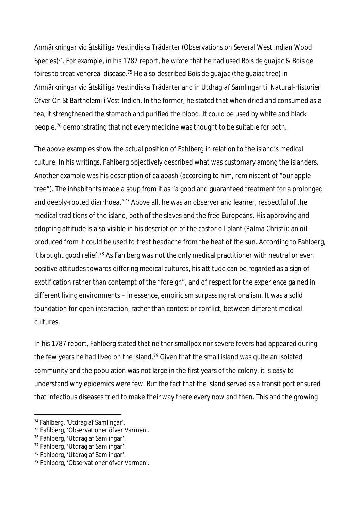*Anmärkningar vid åtskilliga Vestindiska Trädarter* (Observations on Several West Indian Wood Species)[74](#page-17-0). For example, in his 1787 report, he wrote that he had used *Bois de guajac & Bois de foires* to treat venereal disease.[75](#page-17-1) He also described *Bois de guajac* (the guaiac tree) in *Anmärkningar vid åtskilliga Vestindiska Trädarter* and in *Utdrag af Samlingar til Natural-Historien Öfver Ön St Barthelemi i Vest-Indien*. In the former, he stated that when dried and consumed as a tea, it strengthened the stomach and purified the blood. It could be used by white and black people,<sup>[76](#page-17-2)</sup> demonstrating that not every medicine was thought to be suitable for both.

The above examples show the actual position of Fahlberg in relation to the island's medical culture. In his writings, Fahlberg objectively described what was customary among the islanders. Another example was his description of calabash (according to him, reminiscent of "our apple tree"). The inhabitants made a soup from it as "a good and guaranteed treatment for a prolonged and deeply-rooted diarrhoea."<sup>[77](#page-17-3)</sup> Above all, he was an observer and learner, respectful of the medical traditions of the island, both of the slaves and the free Europeans. His approving and adopting attitude is also visible in his description of the castor oil plant (*Palma Christi*): an oil produced from it could be used to treat headache from the heat of the sun. According to Fahlberg, it brought good relief.<sup>[78](#page-17-4)</sup> As Fahlberg was not the only medical practitioner with neutral or even positive attitudes towards differing medical cultures, his attitude can be regarded as a sign of exotification rather than contempt of the "foreign", and of respect for the experience gained in different living environments – in essence, empiricism surpassing rationalism. It was a solid foundation for open interaction, rather than contest or conflict, between different medical cultures.

In his 1787 report, Fahlberg stated that neither smallpox nor severe fevers had appeared during the few years he had lived on the island.<sup>[79](#page-17-5)</sup> Given that the small island was quite an isolated community and the population was not large in the first years of the colony, it is easy to understand why epidemics were few. But the fact that the island served as a transit port ensured that infectious diseases tried to make their way there every now and then. This and the growing

<span id="page-17-0"></span><sup>74</sup> Fahlberg, 'Utdrag af Samlingar'.

<span id="page-17-1"></span><sup>75</sup> Fahlberg, 'Observationer öfver Varmen'.

<span id="page-17-2"></span><sup>76</sup> Fahlberg, 'Utdrag af Samlingar'.

<span id="page-17-3"></span><sup>77</sup> Fahlberg, 'Utdrag af Samlingar'.

<span id="page-17-4"></span><sup>78</sup> Fahlberg, 'Utdrag af Samlingar'.

<span id="page-17-5"></span><sup>79</sup> Fahlberg, 'Observationer öfver Varmen'.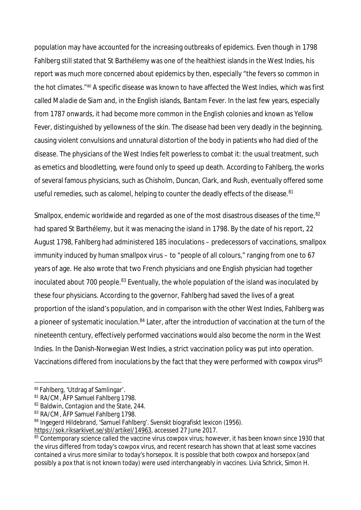population may have accounted for the increasing outbreaks of epidemics. Even though in 1798 Fahlberg still stated that St Barthélemy was one of the healthiest islands in the West Indies, his report was much more concerned about epidemics by then, especially "the fevers so common in the hot climates."[80](#page-18-0) A specific disease was known to have affected the West Indies, which was first called *Maladie de Siam* and, in the English islands, *Bantam Fever*. In the last few years, especially from 1787 onwards, it had become more common in the English colonies and known as *Yellow Fever*, distinguished by yellowness of the skin. The disease had been very deadly in the beginning, causing violent convulsions and unnatural distortion of the body in patients who had died of the disease. The physicians of the West Indies felt powerless to combat it: the usual treatment, such as emetics and bloodletting, were found only to speed up death. According to Fahlberg, the works of several famous physicians, such as Chisholm, Duncan, Clark, and Rush, eventually offered some useful remedies, such as calomel, helping to counter the deadly effects of the disease.<sup>[81](#page-18-1)</sup>

Smallpox, endemic worldwide and regarded as one of the most disastrous diseases of the time, <sup>[82](#page-18-2)</sup> had spared St Barthélemy, but it was menacing the island in 1798. By the date of his report, 22 August 1798, Fahlberg had administered 185 inoculations – predecessors of vaccinations, smallpox immunity induced by human smallpox virus – to "people of all colours," ranging from one to 67 years of age. He also wrote that two French physicians and one English physician had together inoculated about 700 people.<sup>[83](#page-18-3)</sup> Eventually, the whole population of the island was inoculated by these four physicians. According to the governor, Fahlberg had saved the lives of a great proportion of the island's population, and in comparison with the other West Indies, Fahlberg was a pioneer of systematic inoculation.<sup>[84](#page-18-4)</sup> Later, after the introduction of vaccination at the turn of the nineteenth century, effectively performed vaccinations would also become the norm in the West Indies. In the Danish-Norwegian West Indies, a strict vaccination policy was put into operation. Vaccinations differed from inoculations by the fact that they were performed with cowpox virus<sup>[85](#page-18-5)</sup>

<span id="page-18-0"></span><sup>80</sup> Fahlberg, 'Utdrag af Samlingar'.

<span id="page-18-1"></span><sup>81</sup> RA/CM, ÅFP Samuel Fahlberg 1798.

<span id="page-18-2"></span><sup>82</sup> Baldwin, *Contagion and the State*, 244.

<span id="page-18-3"></span><sup>83</sup> RA/CM, ÅFP Samuel Fahlberg 1798.

<span id="page-18-4"></span><sup>84</sup> Ingegerd Hildebrand, 'Samuel Fahlberg'. Svenskt biografiskt lexicon (1956). <https://sok.riksarkivet.se/sbl/artikel/14963>*,* accessed 27 June 2017.

<span id="page-18-5"></span><sup>85</sup> Contemporary science called the vaccine virus cowpox virus; however, it has been known since 1930 that the virus differed from today's cowpox virus, and recent research has shown that at least some vaccines contained a virus more similar to today's horsepox. It is possible that both cowpox and horsepox (and possibly a pox that is not known today) were used interchangeably in vaccines. Livia Schrick, Simon H.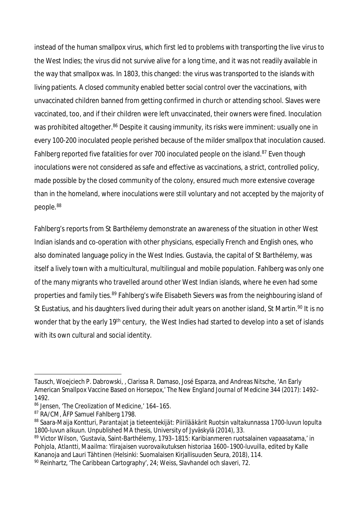instead of the human smallpox virus, which first led to problems with transporting the live virus to the West Indies; the virus did not survive alive for a long time, and it was not readily available in the way that smallpox was. In 1803, this changed: the virus was transported to the islands with living patients. A closed community enabled better social control over the vaccinations, with unvaccinated children banned from getting confirmed in church or attending school. Slaves were vaccinated, too, and if their children were left unvaccinated, their owners were fined. Inoculation was prohibited altogether.<sup>[86](#page-19-0)</sup> Despite it causing immunity, its risks were imminent: usually one in every 100-200 inoculated people perished because of the milder smallpox that inoculation caused. Fahlberg reported five fatalities for over 700 inoculated people on the island.<sup>[87](#page-19-1)</sup> Even though inoculations were not considered as safe and effective as vaccinations, a strict, controlled policy, made possible by the closed community of the colony, ensured much more extensive coverage than in the homeland, where inoculations were still voluntary and not accepted by the majority of people.<sup>[88](#page-19-2)</sup>

Fahlberg's reports from St Barthélemy demonstrate an awareness of the situation in other West Indian islands and co-operation with other physicians, especially French and English ones, who also dominated language policy in the West Indies. Gustavia, the capital of St Barthélemy, was itself a lively town with a multicultural, multilingual and mobile population. Fahlberg was only one of the many migrants who travelled around other West Indian islands, where he even had some properties and family ties.<sup>[89](#page-19-3)</sup> Fahlberg's wife Elisabeth Sievers was from the neighbouring island of St Eustatius, and his daughters lived during their adult years on another island, St Martin.<sup>[90](#page-19-4)</sup> It is no wonder that by the early 19<sup>th</sup> century, the West Indies had started to develop into a set of islands with its own cultural and social identity.

Tausch, Woejciech P. Dabrowski, , Clarissa R. Damaso, José Esparza, and Andreas Nitsche, 'An Early American Smallpox Vaccine Based on Horsepox,' *The New England Journal of Medicine* 344 (2017): 1492– 1492.

<span id="page-19-0"></span><sup>86</sup> Jensen, 'The Creolization of Medicine,' 164–165.

<span id="page-19-1"></span><sup>87</sup> RA/CM, ÅFP Samuel Fahlberg 1798.

<span id="page-19-2"></span><sup>88</sup> Saara-Maija Kontturi, *Parantajat ja tieteentekijät: Piirilääkärit Ruotsin valtakunnassa 1700-luvun lopulta 1800-luvun alkuun*. Unpublished MA thesis, University of Jyväskylä (2014), 33.

<span id="page-19-3"></span><sup>89</sup> Victor Wilson, 'Gustavia, Saint-Barthélemy, 1793–1815: Karibianmeren ruotsalainen vapaasatama,' in *Pohjola, Atlantti, Maailma: Ylirajaisen vuorovaikutuksen historiaa 1600–1900-luvuilla,* edited by Kalle Kananoja and Lauri Tähtinen (Helsinki: Suomalaisen Kirjallisuuden Seura, 2018), 114.

<span id="page-19-4"></span><sup>90</sup> Reinhartz, 'The Caribbean Cartography', 24; Weiss, *Slavhandel och slaveri*, 72.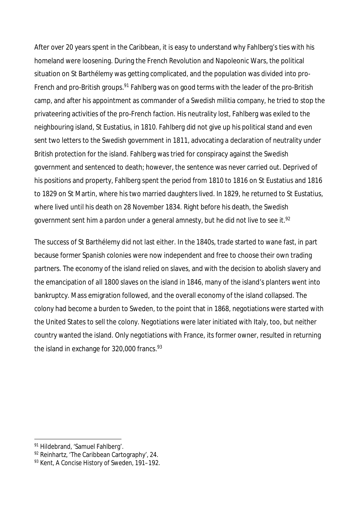After over 20 years spent in the Caribbean, it is easy to understand why Fahlberg's ties with his homeland were loosening. During the French Revolution and Napoleonic Wars, the political situation on St Barthélemy was getting complicated, and the population was divided into pro-French and pro-British groups.<sup>[91](#page-20-0)</sup> Fahlberg was on good terms with the leader of the pro-British camp, and after his appointment as commander of a Swedish militia company, he tried to stop the privateering activities of the pro-French faction. His neutrality lost, Fahlberg was exiled to the neighbouring island, St Eustatius, in 1810. Fahlberg did not give up his political stand and even sent two letters to the Swedish government in 1811, advocating a declaration of neutrality under British protection for the island. Fahlberg was tried for conspiracy against the Swedish government and sentenced to death; however, the sentence was never carried out. Deprived of his positions and property, Fahlberg spent the period from 1810 to 1816 on St Eustatius and 1816 to 1829 on St Martin, where his two married daughters lived. In 1829, he returned to St Eustatius, where lived until his death on 28 November 1834. Right before his death, the Swedish government sent him a pardon under a general amnesty, but he did not live to see it.<sup>[92](#page-20-1)</sup>

The success of St Barthélemy did not last either. In the 1840s, trade started to wane fast, in part because former Spanish colonies were now independent and free to choose their own trading partners. The economy of the island relied on slaves, and with the decision to abolish slavery and the emancipation of all 1800 slaves on the island in 1846, many of the island's planters went into bankruptcy. Mass emigration followed, and the overall economy of the island collapsed. The colony had become a burden to Sweden, to the point that in 1868, negotiations were started with the United States to sell the colony. Negotiations were later initiated with Italy, too, but neither country wanted the island. Only negotiations with France, its former owner, resulted in returning the island in exchange for  $320,000$  francs.<sup>[93](#page-20-2)</sup>

<span id="page-20-0"></span><sup>91</sup> Hildebrand, 'Samuel Fahlberg'.

<span id="page-20-1"></span><sup>92</sup> Reinhartz, 'The Caribbean Cartography', 24.

<span id="page-20-2"></span><sup>93</sup> Kent, *A Concise History of Sweden*, 191–192.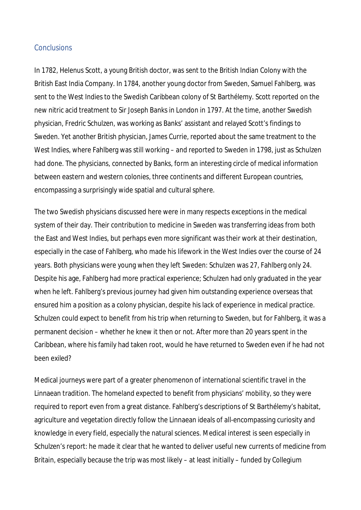#### **Conclusions**

In 1782, Helenus Scott, a young British doctor, was sent to the British Indian Colony with the British East India Company. In 1784, another young doctor from Sweden, Samuel Fahlberg, was sent to the West Indies to the Swedish Caribbean colony of St Barthélemy. Scott reported on the new nitric acid treatment to Sir Joseph Banks in London in 1797. At the time, another Swedish physician, Fredric Schulzen, was working as Banks' assistant and relayed Scott's findings to Sweden. Yet another British physician, James Currie, reported about the same treatment to the West Indies, where Fahlberg was still working – and reported to Sweden in 1798, just as Schulzen had done. The physicians, connected by Banks, form an interesting circle of medical information between eastern and western colonies, three continents and different European countries, encompassing a surprisingly wide spatial and cultural sphere.

The two Swedish physicians discussed here were in many respects exceptions in the medical system of their day. Their contribution to medicine in Sweden was transferring ideas from both the East and West Indies, but perhaps even more significant was their work at their destination, especially in the case of Fahlberg, who made his lifework in the West Indies over the course of 24 years. Both physicians were young when they left Sweden: Schulzen was 27, Fahlberg only 24. Despite his age, Fahlberg had more practical experience; Schulzen had only graduated in the year when he left. Fahlberg's previous journey had given him outstanding experience overseas that ensured him a position as a colony physician, despite his lack of experience in medical practice. Schulzen could expect to benefit from his trip when returning to Sweden, but for Fahlberg, it was a permanent decision – whether he knew it then or not. After more than 20 years spent in the Caribbean, where his family had taken root, would he have returned to Sweden even if he had not been exiled?

Medical journeys were part of a greater phenomenon of international scientific travel in the Linnaean tradition. The homeland expected to benefit from physicians' mobility, so they were required to report even from a great distance. Fahlberg's descriptions of St Barthélemy's habitat, agriculture and vegetation directly follow the Linnaean ideals of all-encompassing curiosity and knowledge in every field, especially the natural sciences. Medical interest is seen especially in Schulzen's report: he made it clear that he wanted to deliver useful new currents of medicine from Britain, especially because the trip was most likely – at least initially – funded by Collegium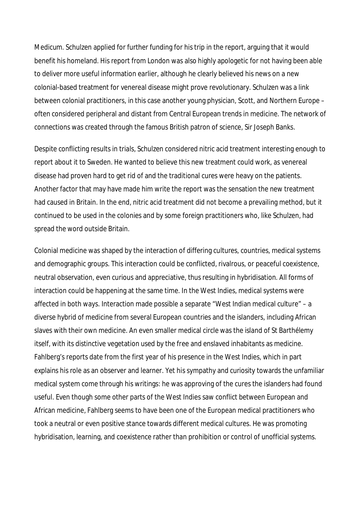Medicum. Schulzen applied for further funding for his trip in the report, arguing that it would benefit his homeland. His report from London was also highly apologetic for not having been able to deliver more useful information earlier, although he clearly believed his news on a new colonial-based treatment for venereal disease might prove revolutionary. Schulzen was a link between colonial practitioners, in this case another young physician, Scott, and Northern Europe – often considered peripheral and distant from Central European trends in medicine. The network of connections was created through the famous British patron of science, Sir Joseph Banks.

Despite conflicting results in trials, Schulzen considered nitric acid treatment interesting enough to report about it to Sweden. He wanted to believe this new treatment could work, as venereal disease had proven hard to get rid of and the traditional cures were heavy on the patients. Another factor that may have made him write the report was the sensation the new treatment had caused in Britain. In the end, nitric acid treatment did not become a prevailing method, but it continued to be used in the colonies and by some foreign practitioners who, like Schulzen, had spread the word outside Britain.

Colonial medicine was shaped by the interaction of differing cultures, countries, medical systems and demographic groups. This interaction could be conflicted, rivalrous, or peaceful coexistence, neutral observation, even curious and appreciative, thus resulting in hybridisation. All forms of interaction could be happening at the same time. In the West Indies, medical systems were affected in both ways. Interaction made possible a separate "West Indian medical culture" – a diverse hybrid of medicine from several European countries and the islanders, including African slaves with their own medicine. An even smaller medical circle was the island of St Barthélemy itself, with its distinctive vegetation used by the free and enslaved inhabitants as medicine. Fahlberg's reports date from the first year of his presence in the West Indies, which in part explains his role as an observer and learner. Yet his sympathy and curiosity towards the unfamiliar medical system come through his writings: he was approving of the cures the islanders had found useful. Even though some other parts of the West Indies saw conflict between European and African medicine, Fahlberg seems to have been one of the European medical practitioners who took a neutral or even positive stance towards different medical cultures. He was promoting hybridisation, learning, and coexistence rather than prohibition or control of unofficial systems.